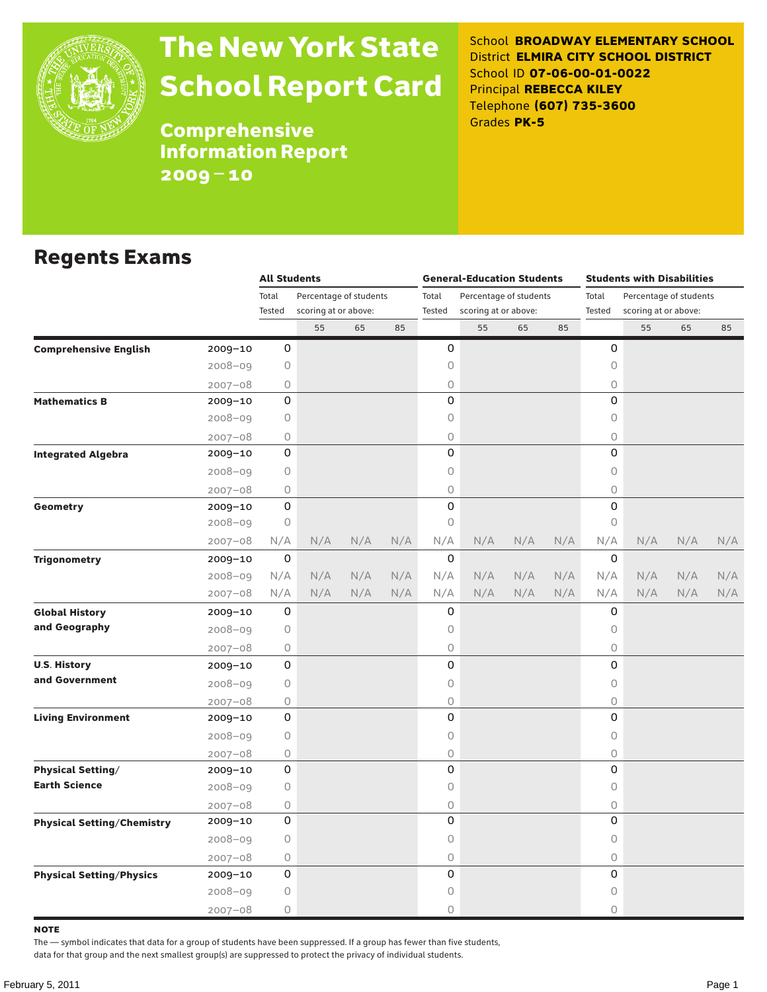

# The New York State School Report Card

School **BROADWAY ELEMENTARY SCHOOL** District **ELMIRA CITY SCHOOL DISTRICT** School ID **07-06-00-01-0022** Principal **REBECCA KILEY** Telephone **(607) 735-3600** Grades **PK-5**

Comprehensive Information Report 2009–10

#### Regents Exams

|                                   |             | <b>All Students</b> |                        |                      |     |        | <b>General-Education Students</b> |     |     | <b>Students with Disabilities</b> |                        |     |     |  |
|-----------------------------------|-------------|---------------------|------------------------|----------------------|-----|--------|-----------------------------------|-----|-----|-----------------------------------|------------------------|-----|-----|--|
|                                   |             | Total               | Percentage of students |                      |     | Total  | Percentage of students            |     |     | Total                             | Percentage of students |     |     |  |
|                                   |             | Tested              |                        | scoring at or above: |     | Tested | scoring at or above:              |     |     | Tested                            | scoring at or above:   |     |     |  |
|                                   |             |                     | 55                     | 65                   | 85  |        | 55                                | 65  | 85  |                                   | 55                     | 65  | 85  |  |
| <b>Comprehensive English</b>      | 2009-10     | 0                   |                        |                      |     | 0      |                                   |     |     | 0                                 |                        |     |     |  |
|                                   | $2008 - 09$ | 0                   |                        |                      |     | 0      |                                   |     |     | $\mathsf O$                       |                        |     |     |  |
|                                   | $2007 - 08$ | 0                   |                        |                      |     | 0      |                                   |     |     | 0                                 |                        |     |     |  |
| <b>Mathematics B</b>              | $2009 - 10$ | 0                   |                        |                      |     | 0      |                                   |     |     | 0                                 |                        |     |     |  |
|                                   | $2008 - 09$ | 0                   |                        |                      |     | 0      |                                   |     |     | 0                                 |                        |     |     |  |
|                                   | $2007 - 08$ | 0                   |                        |                      |     | 0      |                                   |     |     | 0                                 |                        |     |     |  |
| <b>Integrated Algebra</b>         | $2009 - 10$ | 0                   |                        |                      |     | 0      |                                   |     |     | $\Omega$                          |                        |     |     |  |
|                                   | 2008-09     | 0                   |                        |                      |     | 0      |                                   |     |     | 0                                 |                        |     |     |  |
|                                   | $2007 - 08$ | 0                   |                        |                      |     | 0      |                                   |     |     | $\bigcirc$                        |                        |     |     |  |
| Geometry                          | 2009-10     | 0                   |                        |                      |     | 0      |                                   |     |     | 0                                 |                        |     |     |  |
|                                   | $2008 - 09$ | 0                   |                        |                      |     | 0      |                                   |     |     | $\circ$                           |                        |     |     |  |
|                                   | $2007 - 08$ | N/A                 | N/A                    | N/A                  | N/A | N/A    | N/A                               | N/A | N/A | N/A                               | N/A                    | N/A | N/A |  |
| <b>Trigonometry</b>               | 2009-10     | 0                   |                        |                      |     | 0      |                                   |     |     | 0                                 |                        |     |     |  |
|                                   | 2008-09     | N/A                 | N/A                    | N/A                  | N/A | N/A    | N/A                               | N/A | N/A | N/A                               | N/A                    | N/A | N/A |  |
|                                   | $2007 - 08$ | N/A                 | N/A                    | N/A                  | N/A | N/A    | N/A                               | N/A | N/A | N/A                               | N/A                    | N/A | N/A |  |
| <b>Global History</b>             | 2009-10     | 0                   |                        |                      |     | 0      |                                   |     |     | 0                                 |                        |     |     |  |
| and Geography                     | $2008 - 09$ | 0                   |                        |                      |     | 0      |                                   |     |     | $\mathsf O$                       |                        |     |     |  |
|                                   | $2007 - 08$ | 0                   |                        |                      |     | 0      |                                   |     |     | $\bigcirc$                        |                        |     |     |  |
| <b>U.S. History</b>               | 2009-10     | 0                   |                        |                      |     | 0      |                                   |     |     | 0                                 |                        |     |     |  |
| and Government                    | $2008 - 09$ | 0                   |                        |                      |     | 0      |                                   |     |     | $\mathsf O$                       |                        |     |     |  |
|                                   | $2007 - 08$ | 0                   |                        |                      |     | 0      |                                   |     |     | $\bigcirc$                        |                        |     |     |  |
| <b>Living Environment</b>         | 2009-10     | 0                   |                        |                      |     | 0      |                                   |     |     | 0                                 |                        |     |     |  |
|                                   | $2008 - 09$ | 0                   |                        |                      |     | 0      |                                   |     |     | $\mathsf O$                       |                        |     |     |  |
|                                   | $2007 - 08$ | 0                   |                        |                      |     | 0      |                                   |     |     | $\bigcirc$                        |                        |     |     |  |
| <b>Physical Setting/</b>          | 2009-10     | 0                   |                        |                      |     | 0      |                                   |     |     | 0                                 |                        |     |     |  |
| <b>Earth Science</b>              | $2008 - 09$ | 0                   |                        |                      |     | 0      |                                   |     |     | 0                                 |                        |     |     |  |
|                                   | $2007 - 08$ | 0                   |                        |                      |     | 0      |                                   |     |     | $\mathsf O$                       |                        |     |     |  |
| <b>Physical Setting/Chemistry</b> | 2009-10     | 0                   |                        |                      |     | 0      |                                   |     |     | 0                                 |                        |     |     |  |
|                                   | $2008 - 09$ | 0                   |                        |                      |     | 0      |                                   |     |     | 0                                 |                        |     |     |  |
|                                   | $2007 - 08$ | 0                   |                        |                      |     | 0      |                                   |     |     | $\bigcirc$                        |                        |     |     |  |
| <b>Physical Setting/Physics</b>   | 2009-10     | 0                   |                        |                      |     | 0      |                                   |     |     | 0                                 |                        |     |     |  |
|                                   | 2008-09     | 0                   |                        |                      |     | 0      |                                   |     |     | 0                                 |                        |     |     |  |
|                                   | $2007 - 08$ | 0                   |                        |                      |     | 0      |                                   |     |     | $\circ$                           |                        |     |     |  |

note

The — symbol indicates that data for a group of students have been suppressed. If a group has fewer than five students,

data for that group and the next smallest group(s) are suppressed to protect the privacy of individual students.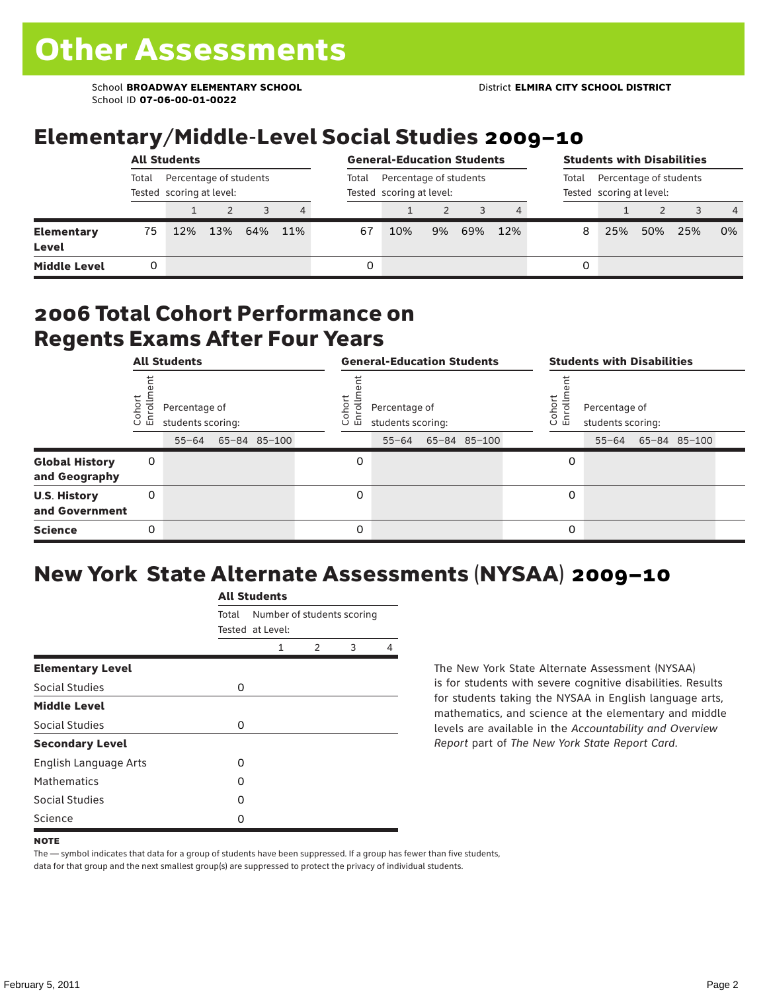School **BROADWAY ELEMENTARY SCHOOL** District **ELMIRA CITY SCHOOL DISTRICT** School ID **07-06-00-01-0022**

### Elementary/Middle-Level Social Studies 2009–10

|                            | <b>All Students</b>                                         |     |     |     |     |       | <b>General-Education Students</b>                  |    |     |     |   | <b>Students with Disabilities</b>                           |     |     |                |  |  |
|----------------------------|-------------------------------------------------------------|-----|-----|-----|-----|-------|----------------------------------------------------|----|-----|-----|---|-------------------------------------------------------------|-----|-----|----------------|--|--|
|                            | Total<br>Percentage of students<br>Tested scoring at level: |     |     |     |     | Total | Percentage of students<br>Tested scoring at level: |    |     |     |   | Percentage of students<br>Total<br>Tested scoring at level: |     |     |                |  |  |
|                            |                                                             |     |     |     | 4   |       |                                                    |    |     |     |   |                                                             |     |     | $\overline{4}$ |  |  |
| <b>Elementary</b><br>Level | 75                                                          | 12% | 13% | 64% | 11% | 67    | 10%                                                | 9% | 69% | 12% | 8 | 25%                                                         | 50% | 25% | 0%             |  |  |
| <b>Middle Level</b>        |                                                             |     |     |     |     | 0     |                                                    |    |     |     | 0 |                                                             |     |     |                |  |  |

#### 2006 Total Cohort Performance on Regents Exams After Four Years

|                                        | <b>All Students</b> |                                    |  |              |  |                      | <b>General-Education Students</b>  |              | <b>Students with Disabilities</b> |                                    |  |                    |  |  |
|----------------------------------------|---------------------|------------------------------------|--|--------------|--|----------------------|------------------------------------|--------------|-----------------------------------|------------------------------------|--|--------------------|--|--|
|                                        | Cohor<br>Enroll     | Percentage of<br>students scoring: |  |              |  | Coho<br>$\circ$<br>ᇛ | Percentage of<br>students scoring: |              | Cohort<br>o,<br>문                 | Percentage of<br>students scoring: |  |                    |  |  |
|                                        |                     | $55 - 64$                          |  | 65-84 85-100 |  |                      | $55 - 64$                          | 65-84 85-100 |                                   |                                    |  | 55-64 65-84 85-100 |  |  |
| <b>Global History</b><br>and Geography | 0                   |                                    |  |              |  | 0                    |                                    |              | 0                                 |                                    |  |                    |  |  |
| <b>U.S. History</b><br>and Government  | 0                   |                                    |  |              |  | $\Omega$             |                                    |              | 0                                 |                                    |  |                    |  |  |
| <b>Science</b>                         | 0                   |                                    |  |              |  | 0                    |                                    |              | 0                                 |                                    |  |                    |  |  |

## New York State Alternate Assessments (NYSAA) 2009–10

|                         | <b>All Students</b> |                                                |               |   |   |  |  |  |  |  |
|-------------------------|---------------------|------------------------------------------------|---------------|---|---|--|--|--|--|--|
|                         | Total               | Number of students scoring<br>Tested at Level: |               |   |   |  |  |  |  |  |
|                         |                     | 1                                              | $\mathcal{P}$ | 3 | 4 |  |  |  |  |  |
| <b>Elementary Level</b> |                     |                                                |               |   |   |  |  |  |  |  |
| Social Studies          | 0                   |                                                |               |   |   |  |  |  |  |  |
| <b>Middle Level</b>     |                     |                                                |               |   |   |  |  |  |  |  |
| <b>Social Studies</b>   | 0                   |                                                |               |   |   |  |  |  |  |  |
| <b>Secondary Level</b>  |                     |                                                |               |   |   |  |  |  |  |  |
| English Language Arts   | O                   |                                                |               |   |   |  |  |  |  |  |
| <b>Mathematics</b>      | O                   |                                                |               |   |   |  |  |  |  |  |
| <b>Social Studies</b>   | O                   |                                                |               |   |   |  |  |  |  |  |
| Science                 | O                   |                                                |               |   |   |  |  |  |  |  |

The New York State Alternate Assessment (NYSAA) is for students with severe cognitive disabilities. Results for students taking the NYSAA in English language arts, mathematics, and science at the elementary and middle levels are available in the *Accountability and Overview Report* part of *The New York State Report Card*.

The — symbol indicates that data for a group of students have been suppressed. If a group has fewer than five students, data for that group and the next smallest group(s) are suppressed to protect the privacy of individual students.

**NOTE**